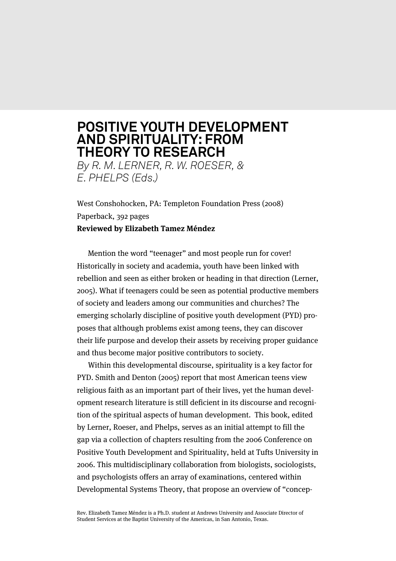## **POSITIVE YOUTH DEVELOPMENT AND SPIRITUALITY: FROM THEORY TO RESEARCH** *By R. M. LERNER, R. W. ROESER, &*

*E. PHELPS (Eds.)*

West Conshohocken, PA: Templeton Foundation Press (2008) Paperback, 392 pages **Reviewed by Elizabeth Tamez Méndez**

Mention the word "teenager" and most people run for cover! Historically in society and academia, youth have been linked with rebellion and seen as either broken or heading in that direction (Lerner, 2005). What if teenagers could be seen as potential productive members of society and leaders among our communities and churches? The emerging scholarly discipline of positive youth development (PYD) proposes that although problems exist among teens, they can discover their life purpose and develop their assets by receiving proper guidance and thus become major positive contributors to society.

Within this developmental discourse, spirituality is a key factor for PYD. Smith and Denton (2005) report that most American teens view religious faith as an important part of their lives, yet the human development research literature is still deficient in its discourse and recognition of the spiritual aspects of human development. This book, edited by Lerner, Roeser, and Phelps, serves as an initial attempt to fill the gap via a collection of chapters resulting from the 2006 Conference on Positive Youth Development and Spirituality, held at Tufts University in 2006. This multidisciplinary collaboration from biologists, sociologists, and psychologists offers an array of examinations, centered within Developmental Systems Theory, that propose an overview of "concep-

Rev. Elizabeth Tamez Méndez is a Ph.D. student at Andrews University and Associate Director of Student Services at the Baptist University of the Americas, in San Antonio, Texas.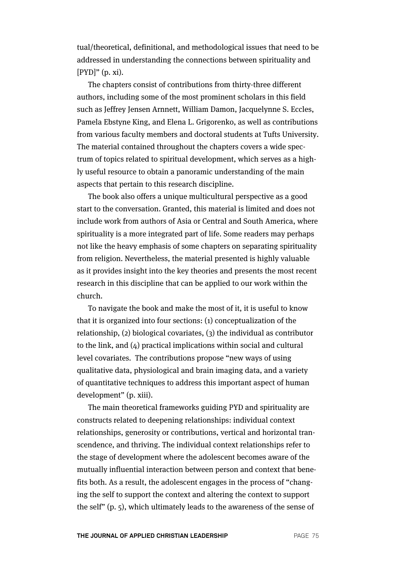tual/theoretical, definitional, and methodological issues that need to be addressed in understanding the connections between spirituality and  $[PYD]''$  (p. xi).

The chapters consist of contributions from thirty-three different authors, including some of the most prominent scholars in this field such as Jeffrey Jensen Arnnett, William Damon, Jacquelynne S. Eccles, Pamela Ebstyne King, and Elena L. Grigorenko, as well as contributions from various faculty members and doctoral students at Tufts University. The material contained throughout the chapters covers a wide spectrum of topics related to spiritual development, which serves as a highly useful resource to obtain a panoramic understanding of the main aspects that pertain to this research discipline.

The book also offers a unique multicultural perspective as a good start to the conversation. Granted, this material is limited and does not include work from authors of Asia or Central and South America, where spirituality is a more integrated part of life. Some readers may perhaps not like the heavy emphasis of some chapters on separating spirituality from religion. Nevertheless, the material presented is highly valuable as it provides insight into the key theories and presents the most recent research in this discipline that can be applied to our work within the church.

To navigate the book and make the most of it, it is useful to know that it is organized into four sections: (1) conceptualization of the relationship, (2) biological covariates, (3) the individual as contributor to the link, and (4) practical implications within social and cultural level covariates. The contributions propose "new ways of using qualitative data, physiological and brain imaging data, and a variety of quantitative techniques to address this important aspect of human development" (p. xiii).

The main theoretical frameworks guiding PYD and spirituality are constructs related to deepening relationships: individual context relationships, generosity or contributions, vertical and horizontal transcendence, and thriving. The individual context relationships refer to the stage of development where the adolescent becomes aware of the mutually influential interaction between person and context that benefits both. As a result, the adolescent engages in the process of "changing the self to support the context and altering the context to support the self" (p. 5), which ultimately leads to the awareness of the sense of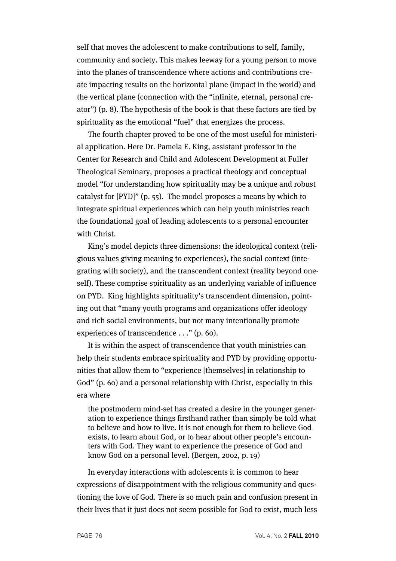self that moves the adolescent to make contributions to self, family, community and society. This makes leeway for a young person to move into the planes of transcendence where actions and contributions create impacting results on the horizontal plane (impact in the world) and the vertical plane (connection with the "infinite, eternal, personal creator") (p. 8). The hypothesis of the book is that these factors are tied by spirituality as the emotional "fuel" that energizes the process.

The fourth chapter proved to be one of the most useful for ministerial application. Here Dr. Pamela E. King, assistant professor in the Center for Research and Child and Adolescent Development at Fuller Theological Seminary, proposes a practical theology and conceptual model "for understanding how spirituality may be a unique and robust catalyst for [PYD]" (p. 55). The model proposes a means by which to integrate spiritual experiences which can help youth ministries reach the foundational goal of leading adolescents to a personal encounter with Christ.

King's model depicts three dimensions: the ideological context (religious values giving meaning to experiences), the social context (integrating with society), and the transcendent context (reality beyond oneself). These comprise spirituality as an underlying variable of influence on PYD. King highlights spirituality's transcendent dimension, pointing out that "many youth programs and organizations offer ideology and rich social environments, but not many intentionally promote experiences of transcendence . . ." (p. 60).

It is within the aspect of transcendence that youth ministries can help their students embrace spirituality and PYD by providing opportunities that allow them to "experience [themselves] in relationship to God" (p. 60) and a personal relationship with Christ, especially in this era where

the postmodern mind-set has created a desire in the younger generation to experience things firsthand rather than simply be told what to believe and how to live. It is not enough for them to believe God exists, to learn about God, or to hear about other people's encounters with God. They want to experience the presence of God and know God on a personal level. (Bergen, 2002, p. 19)

In everyday interactions with adolescents it is common to hear expressions of disappointment with the religious community and questioning the love of God. There is so much pain and confusion present in their lives that it just does not seem possible for God to exist, much less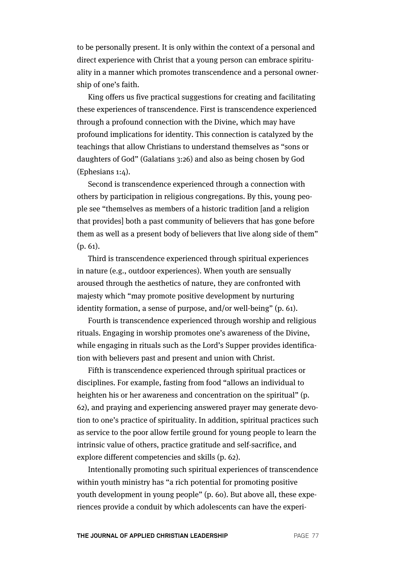to be personally present. It is only within the context of a personal and direct experience with Christ that a young person can embrace spirituality in a manner which promotes transcendence and a personal ownership of one's faith.

King offers us five practical suggestions for creating and facilitating these experiences of transcendence. First is transcendence experienced through a profound connection with the Divine, which may have profound implications for identity. This connection is catalyzed by the teachings that allow Christians to understand themselves as "sons or daughters of God" (Galatians 3:26) and also as being chosen by God (Ephesians 1:4).

Second is transcendence experienced through a connection with others by participation in religious congregations. By this, young people see "themselves as members of a historic tradition [and a religion that provides] both a past community of believers that has gone before them as well as a present body of believers that live along side of them" (p. 61).

Third is transcendence experienced through spiritual experiences in nature (e.g., outdoor experiences). When youth are sensually aroused through the aesthetics of nature, they are confronted with majesty which "may promote positive development by nurturing identity formation, a sense of purpose, and/or well-being" (p. 61).

Fourth is transcendence experienced through worship and religious rituals. Engaging in worship promotes one's awareness of the Divine, while engaging in rituals such as the Lord's Supper provides identification with believers past and present and union with Christ.

Fifth is transcendence experienced through spiritual practices or disciplines. For example, fasting from food "allows an individual to heighten his or her awareness and concentration on the spiritual" (p. 62), and praying and experiencing answered prayer may generate devotion to one's practice of spirituality. In addition, spiritual practices such as service to the poor allow fertile ground for young people to learn the intrinsic value of others, practice gratitude and self-sacrifice, and explore different competencies and skills (p. 62).

Intentionally promoting such spiritual experiences of transcendence within youth ministry has "a rich potential for promoting positive youth development in young people" (p. 60). But above all, these experiences provide a conduit by which adolescents can have the experi